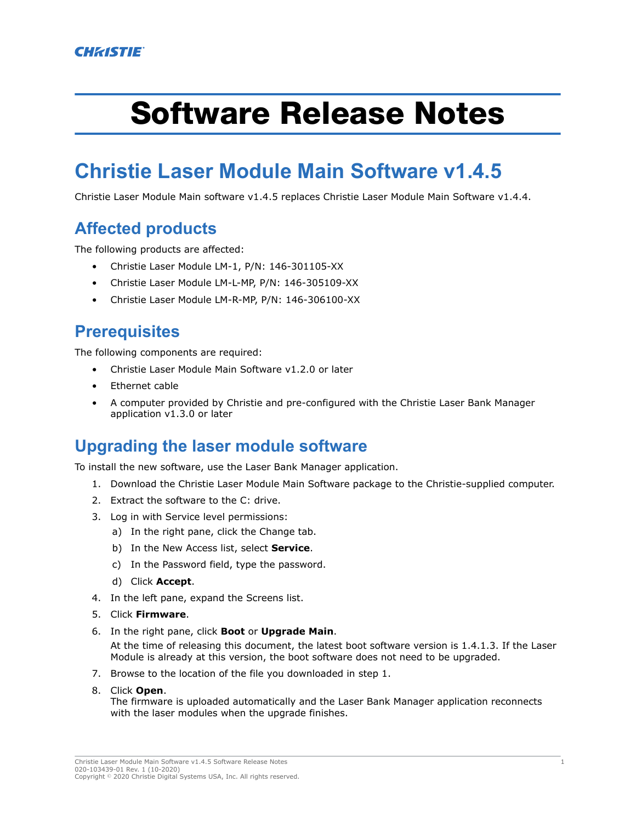# Software Release Notes

# **Christie Laser Module Main Software v1.4.5**

Christie Laser Module Main software v1.4.5 replaces Christie Laser Module Main Software v1.4.4.

## **Affected products**

The following products are affected:

- Christie Laser Module LM-1, P/N: 146-301105-XX
- Christie Laser Module LM-L-MP, P/N: 146-305109-XX
- Christie Laser Module LM-R-MP, P/N: 146-306100-XX

# **Prerequisites**

The following components are required:

- Christie Laser Module Main Software v1.2.0 or later
- Ethernet cable
- A computer provided by Christie and pre-configured with the Christie Laser Bank Manager application v1.3.0 or later

#### **Upgrading the laser module software**

To install the new software, use the Laser Bank Manager application.

- 1. Download the Christie Laser Module Main Software package to the Christie-supplied computer.
- 2. Extract the software to the C: drive.
- 3. Log in with Service level permissions:
	- a) In the right pane, click the Change tab.
	- b) In the New Access list, select **Service**.
	- c) In the Password field, type the password.
	- d) Click **Accept**.
- 4. In the left pane, expand the Screens list.
- 5. Click **Firmware**.
- 6. In the right pane, click **Boot** or **Upgrade Main**.

At the time of releasing this document, the latest boot software version is 1.4.1.3. If the Laser Module is already at this version, the boot software does not need to be upgraded.

- 7. Browse to the location of the file you downloaded in step 1.
- 8. Click **Open**.

The firmware is uploaded automatically and the Laser Bank Manager application reconnects with the laser modules when the upgrade finishes.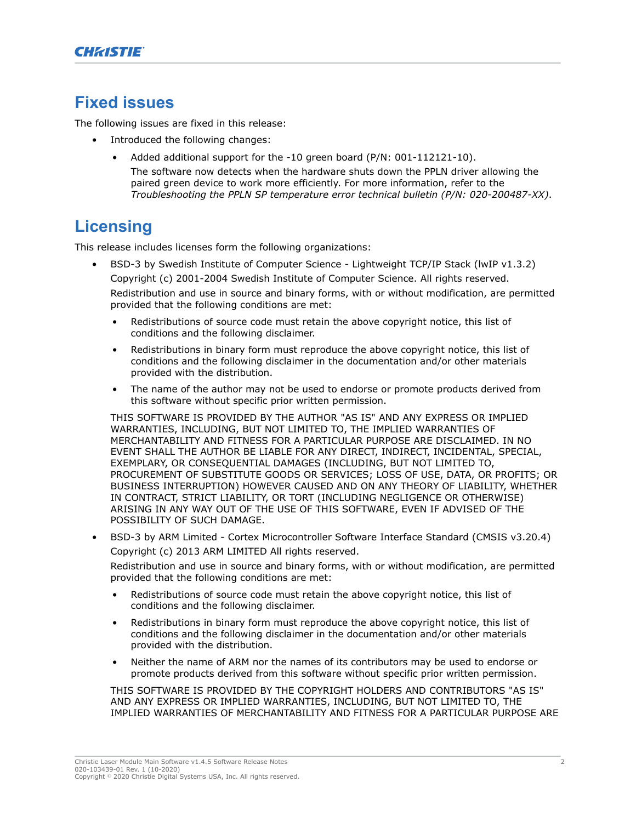## **Fixed issues**

The following issues are fixed in this release:

- Introduced the following changes:
	- Added additional support for the -10 green board (P/N: 001-112121-10).
		- The software now detects when the hardware shuts down the PPLN driver allowing the paired green device to work more efficiently. For more information, refer to the *Troubleshooting the PPLN SP temperature error technical bulletin (P/N: 020-200487-XX)*.

# **Licensing**

This release includes licenses form the following organizations:

- BSD-3 by Swedish Institute of Computer Science Lightweight TCP/IP Stack (lwIP v1.3.2) Copyright (c) 2001-2004 Swedish Institute of Computer Science. All rights reserved. Redistribution and use in source and binary forms, with or without modification, are permitted provided that the following conditions are met:
	- Redistributions of source code must retain the above copyright notice, this list of conditions and the following disclaimer.
	- Redistributions in binary form must reproduce the above copyright notice, this list of conditions and the following disclaimer in the documentation and/or other materials provided with the distribution.
	- The name of the author may not be used to endorse or promote products derived from this software without specific prior written permission.

THIS SOFTWARE IS PROVIDED BY THE AUTHOR "AS IS" AND ANY EXPRESS OR IMPLIED WARRANTIES, INCLUDING, BUT NOT LIMITED TO, THE IMPLIED WARRANTIES OF MERCHANTABILITY AND FITNESS FOR A PARTICULAR PURPOSE ARE DISCLAIMED. IN NO EVENT SHALL THE AUTHOR BE LIABLE FOR ANY DIRECT, INDIRECT, INCIDENTAL, SPECIAL, EXEMPLARY, OR CONSEQUENTIAL DAMAGES (INCLUDING, BUT NOT LIMITED TO, PROCUREMENT OF SUBSTITUTE GOODS OR SERVICES; LOSS OF USE, DATA, OR PROFITS; OR BUSINESS INTERRUPTION) HOWEVER CAUSED AND ON ANY THEORY OF LIABILITY, WHETHER IN CONTRACT, STRICT LIABILITY, OR TORT (INCLUDING NEGLIGENCE OR OTHERWISE) ARISING IN ANY WAY OUT OF THE USE OF THIS SOFTWARE, EVEN IF ADVISED OF THE POSSIBILITY OF SUCH DAMAGE.

• BSD-3 by ARM Limited - Cortex Microcontroller Software Interface Standard (CMSIS v3.20.4) Copyright (c) 2013 ARM LIMITED All rights reserved.

Redistribution and use in source and binary forms, with or without modification, are permitted provided that the following conditions are met:

- Redistributions of source code must retain the above copyright notice, this list of conditions and the following disclaimer.
- Redistributions in binary form must reproduce the above copyright notice, this list of conditions and the following disclaimer in the documentation and/or other materials provided with the distribution.
- Neither the name of ARM nor the names of its contributors may be used to endorse or promote products derived from this software without specific prior written permission.

THIS SOFTWARE IS PROVIDED BY THE COPYRIGHT HOLDERS AND CONTRIBUTORS "AS IS" AND ANY EXPRESS OR IMPLIED WARRANTIES, INCLUDING, BUT NOT LIMITED TO, THE IMPLIED WARRANTIES OF MERCHANTABILITY AND FITNESS FOR A PARTICULAR PURPOSE ARE